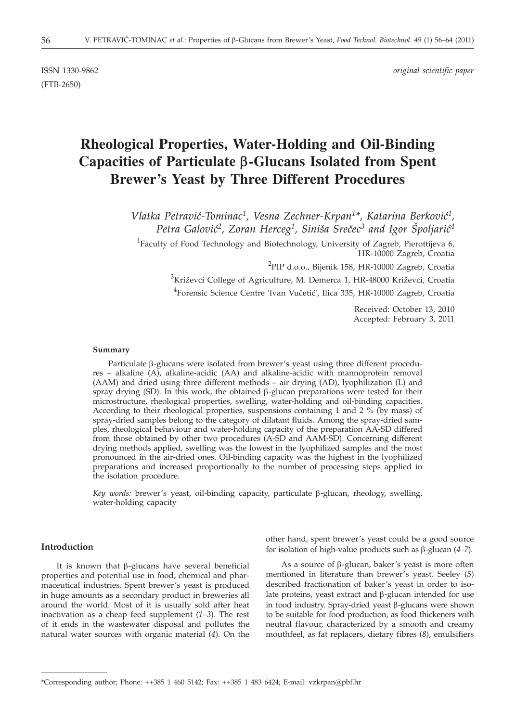(FTB-2650)

ISSN 1330-9862 *original scientific paper*

# **Rheological Properties, Water-Holding and Oil-Binding Capacities of Particulate b-Glucans Isolated from Spent Brewer's Yeast by Three Different Procedures**

*Vlatka Petravi}-Tominac1, Vesna Zechner-Krpan1\*, Katarina Berkovi}1, Petra Galović<sup>2</sup>, Zoran Herceg<sup>1</sup>, Siniša Srečec<sup>3</sup> and Igor Špoljarić<sup>4</sup>* 

<sup>1</sup>Faculty of Food Technology and Biotechnology, University of Zagreb, Pierottijeva 6, HR-10000 Zagreb, Croatia

<sup>2</sup>PIP d.o.o., Bijenik 158, HR-10000 Zagreb, Croatia

 ${}^{3}$ Križevci College of Agriculture, M. Demerca 1, HR-48000 Križevci, Croatia <sup>4</sup> Forensic Science Centre 'Ivan Vučetić', Ilica 335, HR-10000 Zagreb, Croatia

> Received: October 13, 2010 Accepted: February 3, 2011

#### **Summary**

Particulate  $\beta$ -glucans were isolated from brewer's yeast using three different procedures – alkaline (A), alkaline-acidic (AA) and alkaline-acidic with mannoprotein removal (AAM) and dried using three different methods – air drying (AD), lyophilization (L) and spray drying (SD). In this work, the obtained  $\beta$ -glucan preparations were tested for their microstructure, rheological properties, swelling, water-holding and oil-binding capacities. According to their rheological properties, suspensions containing 1 and 2 % (by mass) of spray-dried samples belong to the category of dilatant fluids. Among the spray-dried samples, rheological behaviour and water-holding capacity of the preparation AA-SD differed from those obtained by other two procedures (A-SD and AAM-SD). Concerning different drying methods applied, swelling was the lowest in the lyophilized samples and the most pronounced in the air-dried ones. Oil-binding capacity was the highest in the lyophilized preparations and increased proportionally to the number of processing steps applied in the isolation procedure.

*Key words:* brewer's yeast, oil-binding capacity, particulate  $\beta$ -glucan, rheology, swelling, water-holding capacity

# **Introduction**

It is known that  $\beta$ -glucans have several beneficial properties and potential use in food, chemical and pharmaceutical industries. Spent brewer's yeast is produced in huge amounts as a secondary product in breweries all around the world. Most of it is usually sold after heat inactivation as a cheap feed supplement (*1–3*). The rest of it ends in the wastewater disposal and pollutes the natural water sources with organic material (*4*). On the

other hand, spent brewer's yeast could be a good source for isolation of high-value products such as  $\beta$ -glucan  $(4–7)$ .

As a source of  $\beta$ -glucan, baker's yeast is more often mentioned in literature than brewer's yeast. Seeley (*5*) described fractionation of baker's yeast in order to isolate proteins, yeast extract and  $\beta$ -glucan intended for use in food industry. Spray-dried yeast  $\beta$ -glucans were shown to be suitable for food production, as food thickeners with neutral flavour, characterized by a smooth and creamy mouthfeel, as fat replacers, dietary fibres (*8*), emulsifiers

<sup>\*</sup>Corresponding author; Phone: ++385 1 460 5142; Fax: ++385 1 483 6424; E-mail: vzkrpan@pbf.hr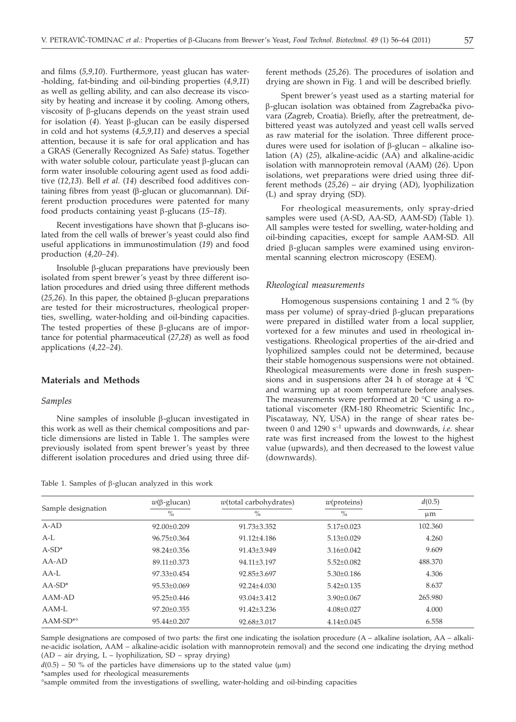and films (*5,9,10*). Furthermore, yeast glucan has water- -holding, fat-binding and oil-binding properties (*4,9,11*) as well as gelling ability, and can also decrease its viscosity by heating and increase it by cooling. Among others, viscosity of  $\beta$ -glucans depends on the yeast strain used for isolation  $(4)$ . Yeast  $\beta$ -glucan can be easily dispersed in cold and hot systems (*4,5,9,11*) and deserves a special attention, because it is safe for oral application and has a GRAS (Generally Recognized As Safe) status. Together with water soluble colour, particulate yeast  $\beta$ -glucan can form water insoluble colouring agent used as food additive (*12,13*). Bell *et al.* (*14*) described food additives containing fibres from yeast (b-glucan or glucomannan). Different production procedures were patented for many food products containing yeast b-glucans (*15–18*).

Recent investigations have shown that  $\beta$ -glucans isolated from the cell walls of brewer's yeast could also find useful applications in immunostimulation (*19*) and food production (*4,20–24*).

Insoluble  $\beta$ -glucan preparations have previously been isolated from spent brewer's yeast by three different isolation procedures and dried using three different methods ( $25,26$ ). In this paper, the obtained  $\beta$ -glucan preparations are tested for their microstructures, rheological properties, swelling, water-holding and oil-binding capacities. The tested properties of these  $\beta$ -glucans are of importance for potential pharmaceutical (*27,28*) as well as food applications (*4,22–24*).

## **Materials and Methods**

#### *Samples*

Nine samples of insoluble  $\beta$ -glucan investigated in this work as well as their chemical compositions and particle dimensions are listed in Table 1. The samples were previously isolated from spent brewer's yeast by three different isolation procedures and dried using three dif-

Table 1. Samples of  $\beta$ -glucan analyzed in this work

ferent methods (*25,26*). The procedures of isolation and drying are shown in Fig. 1 and will be described briefly.

Spent brewer's yeast used as a starting material for β-glucan isolation was obtained from Zagrebačka pivovara (Zagreb, Croatia). Briefly, after the pretreatment, debittered yeast was autolyzed and yeast cell walls served as raw material for the isolation. Three different procedures were used for isolation of  $\beta$ -glucan – alkaline isolation (A) (*25*), alkaline-acidic (AA) and alkaline-acidic isolation with mannoprotein removal (AAM) (*26*). Upon isolations, wet preparations were dried using three different methods (*25,26*) – air drying (AD), lyophilization (L) and spray drying (SD).

For rheological measurements, only spray-dried samples were used (A-SD, AA-SD, AAM-SD) (Table 1). All samples were tested for swelling, water-holding and oil-binding capacities, except for sample AAM-SD. All dried β-glucan samples were examined using environmental scanning electron microscopy (ESEM).

#### *Rheological measurements*

Homogenous suspensions containing 1 and 2 % (by mass per volume) of spray-dried  $\beta$ -glucan preparations were prepared in distilled water from a local supplier, vortexed for a few minutes and used in rheological investigations. Rheological properties of the air-dried and lyophilized samples could not be determined, because their stable homogenous suspensions were not obtained. Rheological measurements were done in fresh suspensions and in suspensions after 24 h of storage at 4  $^{\circ}$ C and warming up at room temperature before analyses. The measurements were performed at 20 °C using a rotational viscometer (RM-180 Rheometric Scientific Inc., Piscataway, NY, USA) in the range of shear rates between 0 and 1290 s–1 upwards and downwards, *i.e*. shear rate was first increased from the lowest to the highest value (upwards), and then decreased to the lowest value (downwards).

|                    | $w(\beta$ -glucan) | $w$ (total carbohydrates) | $w$ (proteins)   | d(0.5)  |  |
|--------------------|--------------------|---------------------------|------------------|---------|--|
| Sample designation | $\%$               | $\frac{0}{0}$             | $\frac{0}{0}$    | $\mu$ m |  |
| $A-AD$             | $92.00 \pm 0.209$  | $91.73 \pm 3.352$         | $5.17 \pm 0.023$ | 102.360 |  |
| A-L                | 96.75±0.364        | $91.12 + 4.186$           | $5.13 \pm 0.029$ | 4.260   |  |
| $A-SD^*$           | 98.24±0.356        | 91.43±3.949               | $3.16 \pm 0.042$ | 9.609   |  |
| $AA-AD$            | 89.11±0.373        | 94.11±3.197               | $5.52 \pm 0.082$ | 488.370 |  |
| AA-L               | 97.33±0.454        | 92.85±3.697               | $5.30 \pm 0.186$ | 4.306   |  |
| $AA-SD^*$          | 95.53±0.069        | $92.24 + 4.030$           | $5.42 \pm 0.135$ | 8.637   |  |
| AAM-AD             | $95.25 + 0.446$    | $93.04 + 3.412$           | $3.90 \pm 0.067$ | 265.980 |  |
| AAM-L              | 97.20±0.355        | 91.42±3.236               | $4.08 \pm 0.027$ | 4.000   |  |
| $AAM-SD*$          | 95.44±0.207        | 92.68±3.017               | $4.14 \pm 0.045$ | 6.558   |  |

Sample designations are composed of two parts: the first one indicating the isolation procedure (A – alkaline isolation, AA – alkaline-acidic isolation, AAM – alkaline-acidic isolation with mannoprotein removal) and the second one indicating the drying method (AD – air drying, L – lyophilization, SD – spray drying)

 $d(0.5)$  – 50 % of the particles have dimensions up to the stated value ( $\mu$ m)

\*samples used for rheological measurements

°sample ommited from the investigations of swelling, water-holding and oil-binding capacities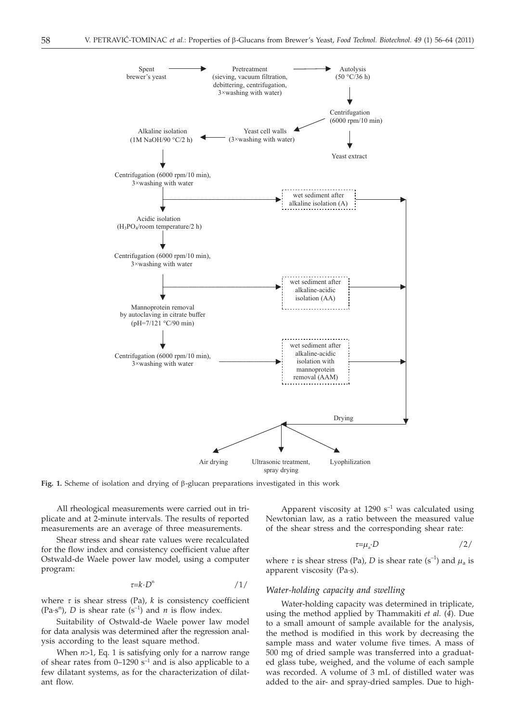

**Fig. 1.** Scheme of isolation and drying of b-glucan preparations investigated in this work

All rheological measurements were carried out in triplicate and at 2-minute intervals. The results of reported measurements are an average of three measurements.

Shear stress and shear rate values were recalculated for the flow index and consistency coefficient value after Ostwald-de Waele power law model, using a computer program:

$$
\tau = k \cdot D^n \tag{1/}
$$

where  $\tau$  is shear stress (Pa),  $k$  is consistency coefficient  $(Pa·s<sup>n</sup>)$ , *D* is shear rate  $(s<sup>-1</sup>)$  and *n* is flow index.

Suitability of Ostwald-de Waele power law model for data analysis was determined after the regression analysis according to the least square method.

When  $n>1$ , Eq. 1 is satisfying only for a narrow range of shear rates from  $0-1290$  s<sup>-1</sup> and is also applicable to a few dilatant systems, as for the characterization of dilatant flow.

Apparent viscosity at  $1290 s^{-1}$  was calculated using Newtonian law, as a ratio between the measured value of the shear stress and the corresponding shear rate:

$$
\tau = \mu_a \cdot D \tag{2/}
$$

where  $\tau$  is shear stress (Pa), *D* is shear rate (s<sup>-1</sup>) and  $\mu_a$  is apparent viscosity (Pa·s).

## *Water-holding capacity and swelling*

Water-holding capacity was determined in triplicate, using the method applied by Thammakiti *et al.* (*4*). Due to a small amount of sample available for the analysis, the method is modified in this work by decreasing the sample mass and water volume five times. A mass of 500 mg of dried sample was transferred into a graduated glass tube, weighed, and the volume of each sample was recorded. A volume of 3 mL of distilled water was added to the air- and spray-dried samples. Due to high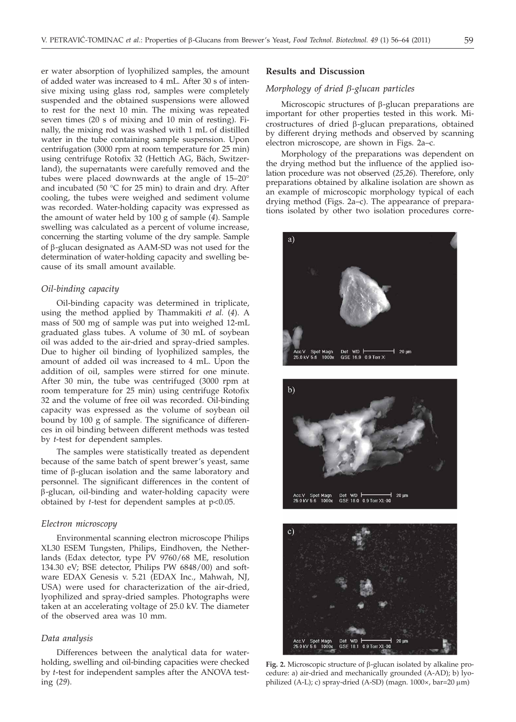er water absorption of lyophilized samples, the amount of added water was increased to 4 mL. After 30 s of intensive mixing using glass rod, samples were completely suspended and the obtained suspensions were allowed to rest for the next 10 min. The mixing was repeated seven times (20 s of mixing and 10 min of resting). Finally, the mixing rod was washed with 1 mL of distilled water in the tube containing sample suspension. Upon centrifugation (3000 rpm at room temperature for 25 min) using centrifuge Rotofix 32 (Hettich AG, Bäch, Switzerland), the supernatants were carefully removed and the tubes were placed downwards at the angle of 15–20° and incubated (50 °C for 25 min) to drain and dry. After cooling, the tubes were weighed and sediment volume was recorded. Water-holding capacity was expressed as the amount of water held by 100 g of sample (*4*). Sample swelling was calculated as a percent of volume increase, concerning the starting volume of the dry sample. Sample of  $\beta$ -glucan designated as AAM-SD was not used for the determination of water-holding capacity and swelling because of its small amount available.

## *Oil-binding capacity*

Oil-binding capacity was determined in triplicate, using the method applied by Thammakiti *et al.* (*4*). A mass of 500 mg of sample was put into weighed 12-mL graduated glass tubes. A volume of 30 mL of soybean oil was added to the air-dried and spray-dried samples. Due to higher oil binding of lyophilized samples, the amount of added oil was increased to 4 mL. Upon the addition of oil, samples were stirred for one minute. After 30 min, the tube was centrifuged (3000 rpm at room temperature for 25 min) using centrifuge Rotofix 32 and the volume of free oil was recorded. Oil-binding capacity was expressed as the volume of soybean oil bound by 100 g of sample. The significance of differences in oil binding between different methods was tested by *t*-test for dependent samples.

The samples were statistically treated as dependent because of the same batch of spent brewer's yeast, same time of  $\beta$ -glucan isolation and the same laboratory and personnel. The significant differences in the content of b-glucan, oil-binding and water-holding capacity were obtained by *t*-test for dependent samples at p<0.05.

#### *Electron microscopy*

Environmental scanning electron microscope Philips XL30 ESEM Tungsten, Philips, Eindhoven, the Netherlands (Edax detector, type PV 9760/68 ME, resolution 134.30 eV; BSE detector, Philips PW 6848/00) and software EDAX Genesis v. 5.21 (EDAX Inc., Mahwah, NJ, USA) were used for characterization of the air-dried, lyophilized and spray-dried samples. Photographs were taken at an accelerating voltage of 25.0 kV. The diameter of the observed area was 10 mm.

## *Data analysis*

Differences between the analytical data for waterholding, swelling and oil-binding capacities were checked by *t*-test for independent samples after the ANOVA testing (*29*).

#### **Results and Discussion**

## *Morphology of dried b-glucan particles*

Microscopic structures of  $\beta$ -glucan preparations are important for other properties tested in this work. Microstructures of dried  $\beta$ -glucan preparations, obtained by different drying methods and observed by scanning electron microscope, are shown in Figs. 2a–c.

Morphology of the preparations was dependent on the drying method but the influence of the applied isolation procedure was not observed (*25,26*). Therefore, only preparations obtained by alkaline isolation are shown as an example of microscopic morphology typical of each drying method (Figs. 2a–c). The appearance of preparations isolated by other two isolation procedures corre-







**Fig. 2.** Microscopic structure of b-glucan isolated by alkaline procedure: a) air-dried and mechanically grounded (A-AD); b) lyophilized (A-L); c) spray-dried (A-SD) (magn.  $1000 \times$ , bar=20  $\mu$ m)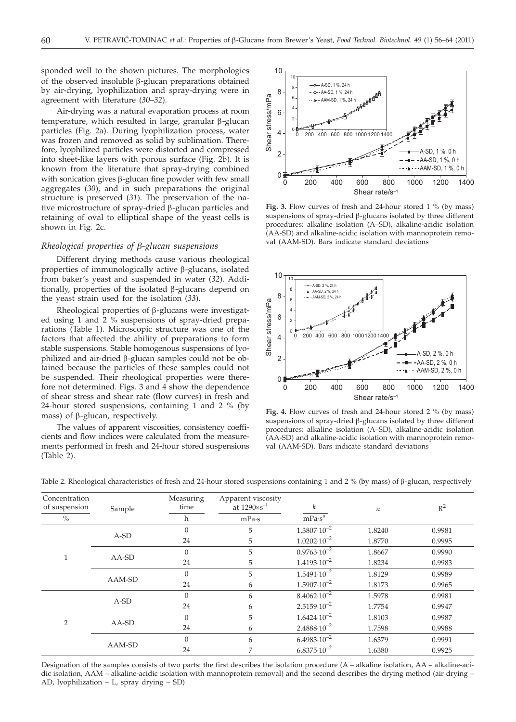sponded well to the shown pictures. The morphologies of the observed insoluble  $\beta$ -glucan preparations obtained by air-drying, lyophilization and spray-drying were in agreement with literature (*30–32*).

Air-drying was a natural evaporation process at room temperature, which resulted in large, granular  $\beta$ -glucan particles (Fig. 2a). During lyophilization process, water was frozen and removed as solid by sublimation. Therefore, lyophilized particles were distorted and compressed into sheet-like layers with porous surface (Fig. 2b). It is known from the literature that spray-drying combined with sonication gives  $\beta$ -glucan fine powder with few small aggregates (*30*), and in such preparations the original structure is preserved (*31*). The preservation of the native microstructure of spray-dried β-glucan particles and retaining of oval to elliptical shape of the yeast cells is shown in Fig. 2c.

# *Rheological properties of b-glucan suspensions*

Different drying methods cause various rheological properties of immunologically active  $\beta$ -glucans, isolated from baker's yeast and suspended in water (*32*). Additionally, properties of the isolated  $\beta$ -glucans depend on the yeast strain used for the isolation (*33*).

Rheological properties of  $\beta$ -glucans were investigated using 1 and 2 % suspensions of spray-dried preparations (Table 1). Microscopic structure was one of the factors that affected the ability of preparations to form stable suspensions. Stable homogenous suspensions of lyophilized and air-dried  $\beta$ -glucan samples could not be obtained because the particles of these samples could not be suspended. Their rheological properties were therefore not determined. Figs. 3 and 4 show the dependence of shear stress and shear rate (flow curves) in fresh and 24-hour stored suspensions, containing 1 and 2 % (by mass) of  $\beta$ -glucan, respectively.

The values of apparent viscosities, consistency coefficients and flow indices were calculated from the measurements performed in fresh and 24-hour stored suspensions (Table 2).



**Fig. 3.** Flow curves of fresh and 24-hour stored 1 % (by mass) suspensions of spray-dried  $\beta$ -glucans isolated by three different procedures: alkaline isolation (A–SD), alkaline-acidic isolation (AA-SD) and alkaline-acidic isolation with mannoprotein removal (AAM-SD). Bars indicate standard deviations



**Fig. 4.** Flow curves of fresh and 24-hour stored 2 % (by mass) suspensions of spray-dried  $\beta$ -glucans isolated by three different procedures: alkaline isolation (A–SD), alkaline-acidic isolation (AA-SD) and alkaline-acidic isolation with mannoprotein removal (AAM-SD). Bars indicate standard deviations

| Concentration<br>of suspension | Sample | Measuring<br>time | Apparent viscosity<br>at $1290 \times s^{-1}$ |                        | $\boldsymbol{n}$ | $R^2$  |
|--------------------------------|--------|-------------------|-----------------------------------------------|------------------------|------------------|--------|
| $\frac{0}{0}$                  |        | h                 | mPa·s                                         | $mPa·s^n$              |                  |        |
|                                | A-SD   | $\theta$          | 5                                             | $1.3807 \cdot 10^{-2}$ | 1.8240           | 0.9981 |
|                                |        | 24                | 5                                             | $1.0202 \cdot 10^{-2}$ | 1.8770           | 0.9995 |
|                                | AA-SD  | $\Omega$          | 5                                             | $0.9763 \cdot 10^{-2}$ | 1.8667           | 0.9990 |
|                                |        | 24                | 5                                             | $1.4193 \cdot 10^{-2}$ | 1.8234           | 0.9983 |
|                                | AAM-SD | $\Omega$          | 5                                             | $1.5491 \cdot 10^{-2}$ | 1.8129           | 0.9989 |
|                                |        | 24                | 6                                             | $1.5907 \cdot 10^{-2}$ | 1.8173           | 0.9965 |
| $\overline{2}$                 | A-SD   | $\Omega$          | 6                                             | $8.4062 \cdot 10^{-2}$ | 1.5978           | 0.9981 |
|                                |        | 24                | 6                                             | $2.5159 \cdot 10^{-2}$ | 1.7754           | 0.9947 |
|                                | AA-SD  | $\Omega$          | 5                                             | $1.6424 \cdot 10^{-2}$ | 1.8103           | 0.9987 |
|                                |        | 24                | 6                                             | $2.4888 \cdot 10^{-2}$ | 1.7598           | 0.9988 |
|                                | AAM-SD | $\Omega$          | 6                                             | $6.4983 \cdot 10^{-2}$ | 1.6379           | 0.9991 |
|                                |        | 24                | 7                                             | $6.8375 \cdot 10^{-2}$ | 1.6380           | 0.9925 |

Table 2. Rheological characteristics of fresh and 24-hour stored suspensions containing 1 and 2 % (by mass) of  $\beta$ -glucan, respectively

Designation of the samples consists of two parts: the first describes the isolation procedure (A – alkaline isolation, AA – alkaline-acidic isolation, AAM – alkaline-acidic isolation with mannoprotein removal) and the second describes the drying method (air drying – AD, lyophilization – L, spray drying – SD)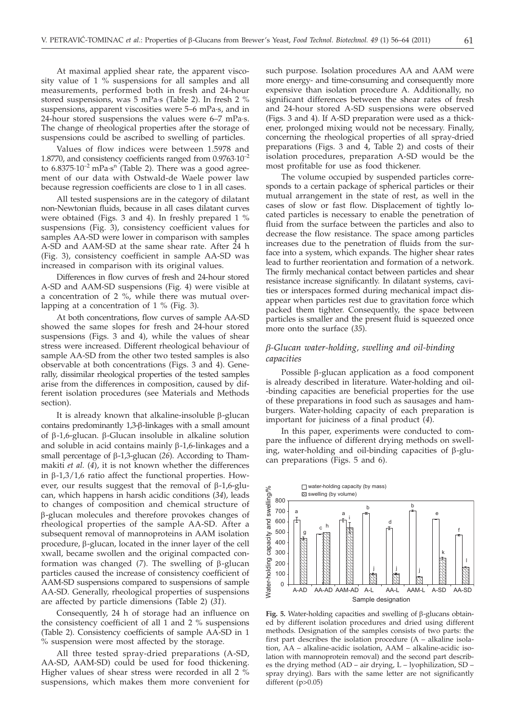At maximal applied shear rate, the apparent viscosity value of 1 % suspensions for all samples and all measurements, performed both in fresh and 24-hour stored suspensions, was 5 mPa·s (Table 2). In fresh 2 % suspensions, apparent viscosities were 5–6 mPa·s, and in 24-hour stored suspensions the values were 6–7 mPa·s. The change of rheological properties after the storage of suspensions could be ascribed to swelling of particles.

Values of flow indices were between 1.5978 and 1.8770, and consistency coefficients ranged from  $0.9763 \cdot 10^{-2}$ to  $6.8375 \cdot 10^{-2}$  mPa $\cdot$ s<sup>n</sup> (Table 2). There was a good agreement of our data with Ostwald-de Waele power law because regression coefficients are close to 1 in all cases.

All tested suspensions are in the category of dilatant non-Newtonian fluids, because in all cases dilatant curves were obtained (Figs. 3 and 4). In freshly prepared 1 % suspensions (Fig. 3), consistency coefficient values for samples AA-SD were lower in comparison with samples A-SD and AAM-SD at the same shear rate. After 24 h (Fig. 3), consistency coefficient in sample AA-SD was increased in comparison with its original values.

Differences in flow curves of fresh and 24-hour stored A-SD and AAM-SD suspensions (Fig. 4) were visible at a concentration of 2 %, while there was mutual overlapping at a concentration of 1 % (Fig. 3).

At both concentrations, flow curves of sample AA-SD showed the same slopes for fresh and 24-hour stored suspensions (Figs. 3 and 4), while the values of shear stress were increased. Different rheological behaviour of sample AA-SD from the other two tested samples is also observable at both concentrations (Figs. 3 and 4). Generally, dissimilar rheological properties of the tested samples arise from the differences in composition, caused by different isolation procedures (see Materials and Methods section).

It is already known that alkaline-insoluble  $\beta$ -glucan contains predominantly 1,3- $\beta$ -linkages with a small amount of  $\beta$ -1,6-glucan.  $\beta$ -Glucan insoluble in alkaline solution and soluble in acid contains mainly  $\beta$ -1,6-linkages and a small percentage of b-1,3-glucan (*26*). According to Thammakiti *et al.* (*4*), it is not known whether the differences in  $\beta$ -1,3/1,6 ratio affect the functional properties. However, our results suggest that the removal of  $\beta$ -1,6-glucan, which happens in harsh acidic conditions (*34*), leads to changes of composition and chemical structure of b-glucan molecules and therefore provokes changes of rheological properties of the sample AA-SD. After a subsequent removal of mannoproteins in AAM isolation procedure,  $\beta$ -glucan, located in the inner layer of the cell xwall, became swollen and the original compacted conformation was changed  $(7)$ . The swelling of  $\beta$ -glucan particles caused the increase of consistency coefficient of AAM-SD suspensions compared to suspensions of sample AA-SD. Generally, rheological properties of suspensions are affected by particle dimensions (Table 2) (*31*).

Consequently, 24 h of storage had an influence on the consistency coefficient of all 1 and 2 % suspensions (Table 2). Consistency coefficients of sample AA-SD in 1 % suspension were most affected by the storage.

All three tested spray-dried preparations (A-SD, AA-SD, AAM-SD) could be used for food thickening. Higher values of shear stress were recorded in all 2 % suspensions, which makes them more convenient for such purpose. Isolation procedures AA and AAM were more energy- and time-consuming and consequently more expensive than isolation procedure A. Additionally, no significant differences between the shear rates of fresh and 24-hour stored A-SD suspensions were observed (Figs. 3 and 4). If A-SD preparation were used as a thickener, prolonged mixing would not be necessary. Finally, concerning the rheological properties of all spray-dried preparations (Figs. 3 and 4, Table 2) and costs of their isolation procedures, preparation A-SD would be the most profitable for use as food thickener.

The volume occupied by suspended particles corresponds to a certain package of spherical particles or their mutual arrangement in the state of rest, as well in the cases of slow or fast flow. Displacement of tightly located particles is necessary to enable the penetration of fluid from the surface between the particles and also to decrease the flow resistance. The space among particles increases due to the penetration of fluids from the surface into a system, which expands. The higher shear rates lead to further reorientation and formation of a network. The firmly mechanical contact between particles and shear resistance increase significantly. In dilatant systems, cavities or interspaces formed during mechanical impact disappear when particles rest due to gravitation force which packed them tighter. Consequently, the space between particles is smaller and the present fluid is squeezed once more onto the surface (*35*).

# *b-Glucan water-holding, swelling and oil-binding capacities*

Possible  $\beta$ -glucan application as a food component is already described in literature. Water-holding and oil- -binding capacities are beneficial properties for the use of these preparations in food such as sausages and hamburgers. Water-holding capacity of each preparation is important for juiciness of a final product (*4*).

In this paper, experiments were conducted to compare the influence of different drying methods on swelling, water-holding and oil-binding capacities of  $\beta$ -glucan preparations (Figs. 5 and 6).



Fig. 5. Water-holding capacities and swelling of β-glucans obtained by different isolation procedures and dried using different methods. Designation of the samples consists of two parts: the first part describes the isolation procedure (A – alkaline isolation, AA – alkaline-acidic isolation, AAM – alkaline-acidic isolation with mannoprotein removal) and the second part describes the drying method (AD – air drying, L – lyophilization, SD – spray drying). Bars with the same letter are not significantly different (p>0.05)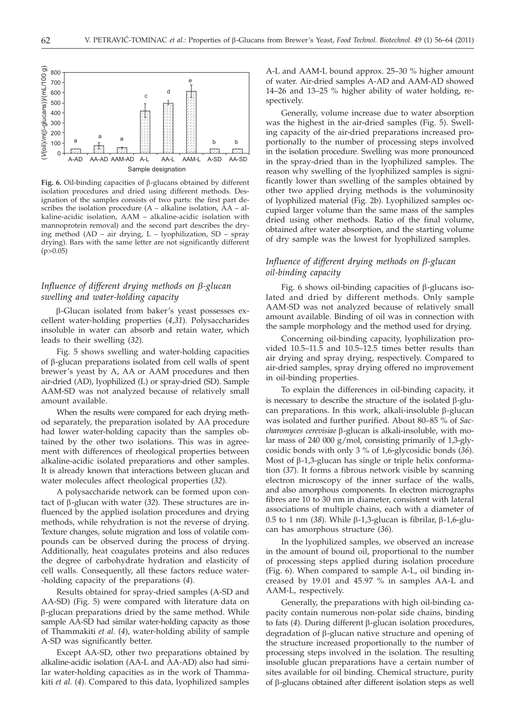

**Fig. 6.** Oil-binding capacities of b-glucans obtained by different isolation procedures and dried using different methods. Designation of the samples consists of two parts: the first part describes the isolation procedure (A – alkaline isolation, AA – alkaline-acidic isolation, AAM – alkaline-acidic isolation with mannoprotein removal) and the second part describes the drying method (AD – air drying, L – lyophilization, SD – spray drying). Bars with the same letter are not significantly different  $(p>0.05)$ 

# *Influence of different drying methods on b-glucan swelling and water-holding capacity*

b-Glucan isolated from baker's yeast possesses excellent water-holding properties (*4,31*). Polysaccharides insoluble in water can absorb and retain water, which leads to their swelling (*32*).

Fig. 5 shows swelling and water-holding capacities of  $\beta$ -glucan preparations isolated from cell walls of spent brewer's yeast by A, AA or AAM procedures and then air-dried (AD), lyophilized (L) or spray-dried (SD). Sample AAM-SD was not analyzed because of relatively small amount available.

When the results were compared for each drying method separately, the preparation isolated by AA procedure had lower water-holding capacity than the samples obtained by the other two isolations. This was in agreement with differences of rheological properties between alkaline-acidic isolated preparations and other samples. It is already known that interactions between glucan and water molecules affect rheological properties (*32*).

A polysaccharide network can be formed upon contact of  $\beta$ -glucan with water (32). These structures are influenced by the applied isolation procedures and drying methods, while rehydration is not the reverse of drying. Texture changes, solute migration and loss of volatile compounds can be observed during the process of drying. Additionally, heat coagulates proteins and also reduces the degree of carbohydrate hydration and elasticity of cell walls. Consequently, all these factors reduce water- -holding capacity of the preparations (*4*).

Results obtained for spray-dried samples (A-SD and AA-SD) (Fig. 5) were compared with literature data on b-glucan preparations dried by the same method. While sample AA-SD had similar water-holding capacity as those of Thammakiti *et al.* (*4*), water-holding ability of sample A-SD was significantly better.

Except AA-SD, other two preparations obtained by alkaline-acidic isolation (AA-L and AA-AD) also had similar water-holding capacities as in the work of Thammakiti *et al.* (*4*). Compared to this data, lyophilized samples

A-L and AAM-L bound approx. 25–30 % higher amount of water. Air-dried samples A-AD and AAM-AD showed 14–26 and 13–25 % higher ability of water holding, respectively.

Generally, volume increase due to water absorption was the highest in the air-dried samples (Fig. 5). Swelling capacity of the air-dried preparations increased proportionally to the number of processing steps involved in the isolation procedure. Swelling was more pronounced in the spray-dried than in the lyophilized samples. The reason why swelling of the lyophilized samples is significantly lower than swelling of the samples obtained by other two applied drying methods is the voluminosity of lyophilized material (Fig. 2b). Lyophilized samples occupied larger volume than the same mass of the samples dried using other methods. Ratio of the final volume, obtained after water absorption, and the starting volume of dry sample was the lowest for lyophilized samples.

# *Influence of different drying methods on b-glucan oil-binding capacity*

Fig. 6 shows oil-binding capacities of  $\beta$ -glucans isolated and dried by different methods. Only sample AAM-SD was not analyzed because of relatively small amount available. Binding of oil was in connection with the sample morphology and the method used for drying.

Concerning oil-binding capacity, lyophilization provided 10.5–11.5 and 10.5–12.5 times better results than air drying and spray drying, respectively. Compared to air-dried samples, spray drying offered no improvement in oil-binding properties.

To explain the differences in oil-binding capacity, it is necessary to describe the structure of the isolated  $\beta$ -glucan preparations. In this work, alkali-insoluble  $\beta$ -glucan was isolated and further purified. About 80–85 % of *Saccharomyces cerevisiae* b-glucan is alkali-insoluble, with molar mass of 240 000 g/mol, consisting primarily of 1,3-glycosidic bonds with only 3 % of 1,6-glycosidic bonds (*36*). Most of  $\beta$ -1,3-glucan has single or triple helix conformation (*37*). It forms a fibrous network visible by scanning electron microscopy of the inner surface of the walls, and also amorphous components. In electron micrographs fibres are 10 to 30 nm in diameter, consistent with lateral associations of multiple chains, each with a diameter of 0.5 to 1 nm (38). While  $\beta$ -1,3-glucan is fibrilar,  $\beta$ -1,6-glucan has amorphous structure (*36*).

In the lyophilized samples, we observed an increase in the amount of bound oil, proportional to the number of processing steps applied during isolation procedure (Fig. 6). When compared to sample A-L, oil binding increased by 19.01 and 45.97 % in samples AA-L and AAM-L, respectively.

Generally, the preparations with high oil-binding capacity contain numerous non-polar side chains, binding to fats (4). During different β-glucan isolation procedures, degradation of β-glucan native structure and opening of the structure increased proportionally to the number of processing steps involved in the isolation. The resulting insoluble glucan preparations have a certain number of sites available for oil binding. Chemical structure, purity of b-glucans obtained after different isolation steps as well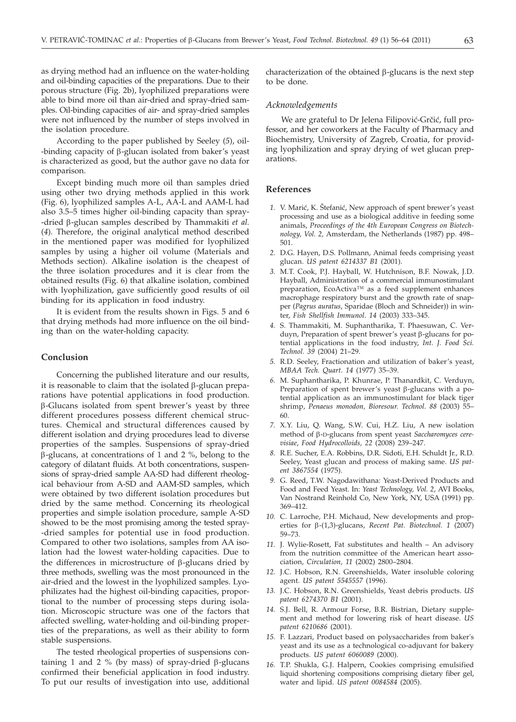as drying method had an influence on the water-holding and oil-binding capacities of the preparations. Due to their porous structure (Fig. 2b), lyophilized preparations were able to bind more oil than air-dried and spray-dried samples. Oil-binding capacities of air- and spray-dried samples were not influenced by the number of steps involved in the isolation procedure.

According to the paper published by Seeley (*5*), oil- -binding capacity of  $\beta$ -glucan isolated from baker's yeast is characterized as good, but the author gave no data for comparison.

Except binding much more oil than samples dried using other two drying methods applied in this work (Fig. 6), lyophilized samples A-L, AA-L and AAM-L had also 3.5–5 times higher oil-binding capacity than spray- -dried b-glucan samples described by Thammakiti *et al.* (*4*). Therefore, the original analytical method described in the mentioned paper was modified for lyophilized samples by using a higher oil volume (Materials and Methods section). Alkaline isolation is the cheapest of the three isolation procedures and it is clear from the obtained results (Fig. 6) that alkaline isolation, combined with lyophilization, gave sufficiently good results of oil binding for its application in food industry.

It is evident from the results shown in Figs. 5 and 6 that drying methods had more influence on the oil binding than on the water-holding capacity.

## **Conclusion**

Concerning the published literature and our results, it is reasonable to claim that the isolated  $\beta$ -glucan preparations have potential applications in food production.  $\beta$ -Glucans isolated from spent brewer's yeast by three different procedures possess different chemical structures. Chemical and structural differences caused by different isolation and drying procedures lead to diverse properties of the samples. Suspensions of spray-dried  $\beta$ -glucans, at concentrations of 1 and 2 %, belong to the category of dilatant fluids. At both concentrations, suspensions of spray-dried sample AA-SD had different rheological behaviour from A-SD and AAM-SD samples, which were obtained by two different isolation procedures but dried by the same method. Concerning its rheological properties and simple isolation procedure, sample A-SD showed to be the most promising among the tested spray- -dried samples for potential use in food production. Compared to other two isolations, samples from AA isolation had the lowest water-holding capacities. Due to the differences in microstructure of  $\beta$ -glucans dried by three methods, swelling was the most pronounced in the air-dried and the lowest in the lyophilized samples. Lyophilizates had the highest oil-binding capacities, proportional to the number of processing steps during isolation. Microscopic structure was one of the factors that affected swelling, water-holding and oil-binding properties of the preparations, as well as their ability to form stable suspensions.

The tested rheological properties of suspensions containing 1 and 2 % (by mass) of spray-dried  $\beta$ -glucans confirmed their beneficial application in food industry. To put our results of investigation into use, additional characterization of the obtained  $\beta$ -glucans is the next step to be done.

#### *Acknowledgements*

We are grateful to Dr Jelena Filipović-Grčić, full professor, and her coworkers at the Faculty of Pharmacy and Biochemistry, University of Zagreb, Croatia, for providing lyophilization and spray drying of wet glucan preparations.

#### **References**

- 1. V. Marić, K. Štefanić, New approach of spent brewer's yeast processing and use as a biological additive in feeding some animals, *Proceedings of the 4th European Congress on Biotechnology, Vol. 2,* Amsterdam, the Netherlands (1987) pp. 498– 501.
- *2.* D.G. Hayen, D.S. Pollmann, Animal feeds comprising yeast glucan. *US patent 6214337 B1* (2001).
- *3.* M.T. Cook, P.J. Hayball, W. Hutchnison, B.F. Nowak, J.D. Hayball, Administration of a commercial immunostimulant preparation, EcoActiva™ as a feed supplement enhances macrophage respiratory burst and the growth rate of snapper (*Pagrus auratus*, Sparidae (Bloch and Schneider)) in winter, *Fish Shellfish Immunol*. *14* (2003) 333–345.
- *4.* S. Thammakiti, M. Suphantharika, T. Phaesuwan, C. Verduyn, Preparation of spent brewer's yeast  $\beta$ -glucans for potential applications in the food industry, *Int. J. Food Sci. Technol. 39* (2004) 21–29.
- *5.* R.D. Seeley, Fractionation and utilization of baker's yeast, *MBAA Tech. Quart. 14* (1977) 35–39.
- *6.* M. Suphantharika, P. Khunrae, P. Thanardkit, C. Verduyn, Preparation of spent brewer's yeast  $\beta$ -glucans with a potential application as an immunostimulant for black tiger shrimp, *Penaeus monodon, Bioresour. Technol. 88* (2003) 55– 60.
- *7.* X.Y. Liu, Q. Wang, S.W. Cui, H.Z. Liu, A new isolation method of <sup>b</sup>-D-glucans from spent yeast *Saccharomyces cerevisiae*, *Food Hydrocolloids, 22* (2008) 239–247.
- *8.* R.E. Sucher, E.A. Robbins, D.R. Sidoti, E.H. Schuldt Jr., R.D. Seeley, Yeast glucan and process of making same. *US patent 3867554* (1975).
- *9.* G. Reed, T.W. Nagodawithana: Yeast-Derived Products and Food and Feed Yeast. In: *Yeast Technology, Vol. 2*, AVI Books, Van Nostrand Reinhold Co, New York, NY, USA (1991) pp. 369–412.
- *10.* C. Larroche, P.H. Michaud, New developments and properties for b-(1,3)-glucans, *Recent Pat. Biotechnol. 1* (2007) 59–73.
- *11.* J. Wylie-Rosett, Fat substitutes and health An advisory from the nutrition committee of the American heart association, *Circulation, 11* (2002) 2800–2804.
- *12.* J.C. Hobson, R.N. Greenshields, Water insoluble coloring agent. *US patent 5545557* (1996).
- *13.* J.C. Hobson, R.N. Greenshields, Yeast debris products. *US patent 6274370 B1* (2001).
- *14.* S.J. Bell, R. Armour Forse, B.R. Bistrian, Dietary supplement and method for lowering risk of heart disease. *US patent 6210686* (2001).
- *15.* F. Lazzari, Product based on polysaccharides from baker's yeast and its use as a technological co-adjuvant for bakery products. *US patent 6060089* (2000).
- *16.* T.P. Shukla, G.J. Halpern, Cookies comprising emulsified liquid shortening compositions comprising dietary fiber gel, water and lipid. *US patent 0084584* (2005).